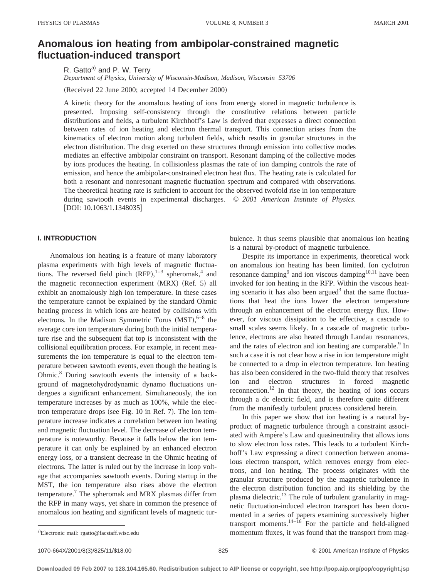# **Anomalous ion heating from ambipolar-constrained magnetic fluctuation-induced transport**

R. Gatto<sup>a)</sup> and P. W. Terry *Department of Physics, University of Wisconsin-Madison, Madison, Wisconsin 53706*

(Received 22 June 2000; accepted 14 December 2000)

A kinetic theory for the anomalous heating of ions from energy stored in magnetic turbulence is presented. Imposing self-consistency through the constitutive relations between particle distributions and fields, a turbulent Kirchhoff's Law is derived that expresses a direct connection between rates of ion heating and electron thermal transport. This connection arises from the kinematics of electron motion along turbulent fields, which results in granular structures in the electron distribution. The drag exerted on these structures through emission into collective modes mediates an effective ambipolar constraint on transport. Resonant damping of the collective modes by ions produces the heating. In collisionless plasmas the rate of ion damping controls the rate of emission, and hence the ambipolar-constrained electron heat flux. The heating rate is calculated for both a resonant and nonresonant magnetic fluctuation spectrum and compared with observations. The theoretical heating rate is sufficient to account for the observed twofold rise in ion temperature during sawtooth events in experimental discharges. © *2001 American Institute of Physics.* [DOI: 10.1063/1.1348035]

## **I. INTRODUCTION**

Anomalous ion heating is a feature of many laboratory plasma experiments with high levels of magnetic fluctuations. The reversed field pinch  $(RFP)$ ,  $1-3$  spheromak,  $4$  and the magnetic reconnection experiment  $(MRX)$   $(Ref. 5)$  all exhibit an anomalously high ion temperature. In these cases the temperature cannot be explained by the standard Ohmic heating process in which ions are heated by collisions with electrons. In the Madison Symmetric Torus  $(MST), ^{6-8}$  the average core ion temperature during both the initial temperature rise and the subsequent flat top is inconsistent with the collisional equilibration process. For example, in recent measurements the ion temperature is equal to the electron temperature between sawtooth events, even though the heating is Ohmic.8 During sawtooth events the intensity of a background of magnetohydrodynamic dynamo fluctuations undergoes a significant enhancement. Simultaneously, the ion temperature increases by as much as 100%, while the electron temperature drops (see Fig.  $10$  in Ref. 7). The ion temperature increase indicates a correlation between ion heating and magnetic fluctuation level. The decrease of electron temperature is noteworthy. Because it falls below the ion temperature it can only be explained by an enhanced electron energy loss, or a transient decrease in the Ohmic heating of electrons. The latter is ruled out by the increase in loop voltage that accompanies sawtooth events. During startup in the MST, the ion temperature also rises above the electron temperature.7 The spheromak and MRX plasmas differ from the RFP in many ways, yet share in common the presence of anomalous ion heating and significant levels of magnetic turbulence. It thus seems plausible that anomalous ion heating is a natural by-product of magnetic turbulence.

Despite its importance in experiments, theoretical work on anomalous ion heating has been limited. Ion cyclotron resonance damping<sup>9</sup> and ion viscous damping<sup>10,11</sup> have been invoked for ion heating in the RFP. Within the viscous heating scenario it has also been argued<sup>3</sup> that the same fluctuations that heat the ions lower the electron temperature through an enhancement of the electron energy flux. However, for viscous dissipation to be effective, a cascade to small scales seems likely. In a cascade of magnetic turbulence, electrons are also heated through Landau resonances, and the rates of electron and ion heating are comparable.<sup>9</sup> In such a case it is not clear how a rise in ion temperature might be connected to a drop in electron temperature. Ion heating has also been considered in the two-fluid theory that resolves ion and electron structures in forced magnetic reconnection.<sup>12</sup> In that theory, the heating of ions occurs through a dc electric field, and is therefore quite different from the manifestly turbulent process considered herein.

In this paper we show that ion heating is a natural byproduct of magnetic turbulence through a constraint associated with Ampére's Law and quasineutrality that allows ions to slow electron loss rates. This leads to a turbulent Kirchhoff's Law expressing a direct connection between anomalous electron transport, which removes energy from electrons, and ion heating. The process originates with the granular structure produced by the magnetic turbulence in the electron distribution function and its shielding by the plasma dielectric.<sup>13</sup> The role of turbulent granularity in magnetic fluctuation-induced electron transport has been documented in a series of papers examining successively higher transport moments. $14-\overline{16}$  For the particle and field-aligned momentum fluxes, it was found that the transport from mag-

Electronic mail: rgatto@facstaff.wisc.edu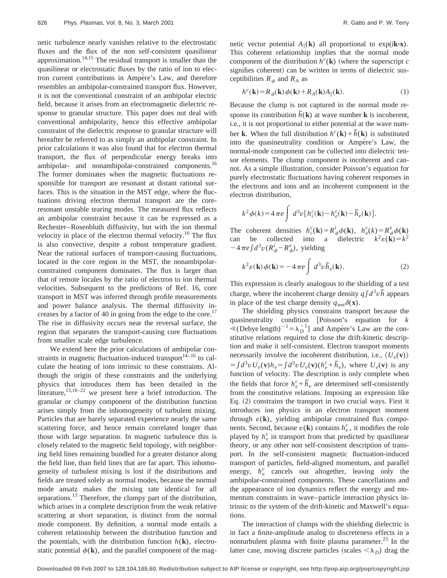netic turbulence nearly vanishes relative to the electrostatic fluxes and the flux of the non self-consistent quasilinear approximation.14,15 The residual transport is smaller than the quasilinear or electrostatic fluxes by the ratio of ion to electron current contributions in Ampére's Law, and therefore resembles an ambipolar-constrained transport flux. However, it is not the conventional constraint of an ambipolar electric field, because it arises from an electromagnetic dielectric response to granular structure. This paper does not deal with conventional ambipolarity, hence this effective ambipolar constraint of the dielectric response to granular structure will hereafter be referred to as simply an ambipolar constraint. In prior calculations it was also found that for electron thermal transport, the flux of perpendicular energy breaks into ambipolar- and nonambipolar-constrained components.<sup>16</sup> The former dominates when the magnetic fluctuations responsible for transport are resonant at distant rational surfaces. This is the situation in the MST edge, where the fluctuations driving electron thermal transport are the coreresonant unstable tearing modes. The measured flux reflects an ambipolar constraint because it can be expressed as a Rechester–Rosenbluth diffusivity, but with the ion thermal velocity in place of the electron thermal velocity.<sup>16</sup> The flux is also convective, despite a robust temperature gradient. Near the rational surfaces of transport-causing fluctuations, located in the core region in the MST, the nonambipolarconstrained component dominates. The flux is larger than that of remote locales by the ratio of electron to ion thermal velocities. Subsequent to the predictions of Ref. 16, core transport in MST was inferred through profile measurements and power balance analysis. The thermal diffusivity increases by a factor of 40 in going from the edge to the core.<sup>17</sup> The rise in diffusivity occurs near the reversal surface, the region that separates the transport-causing core fluctuations from smaller scale edge turbulence.

We extend here the prior calculations of ambipolar constraints in magnetic fluctuation-induced transport $14-16$  to calculate the heating of ions intrinsic to these constraints. Although the origin of these constraints and the underlying physics that introduces them has been detailed in the literature,<sup>13,18–22</sup> we present here a brief introduction. The granular or clumpy component of the distribution function arises simply from the inhomogeneity of turbulent mixing. Particles that are barely separated experience nearly the same scattering force, and hence remain correlated longer than those with large separation. In magnetic turbulence this is closely related to the magnetic field topology, with neighboring field lines remaining bundled for a greater distance along the field line, than field lines that are far apart. This inhomogeneity of turbulent mixing is lost if the distributions and fields are treated solely as normal modes, because the normal mode ansatz makes the mixing rate identical for all separations.<sup>13</sup> Therefore, the clumpy part of the distribution, which arises in a complete description from the weak relative scattering at short separation, is distinct from the normal mode component. By definition, a normal mode entails a coherent relationship between the distribution function and the potentials, with the distribution function  $h(\mathbf{k})$ , electrostatic potential  $\phi(\mathbf{k})$ , and the parallel component of the magnetic vector potential  $A_{\parallel}(\mathbf{k})$  all proportional to  $\exp(i\mathbf{k} \cdot \mathbf{x})$ . This coherent relationship implies that the normal mode component of the distribution  $h^c(\mathbf{k})$  (where the superscript *c* signifies coherent) can be written in terms of dielectric susceptibilities  $R_{\phi}$  and  $R_A$  as

$$
h^{c}(\mathbf{k}) = R_{\phi}(\mathbf{k}) \phi(\mathbf{k}) + R_{A}(\mathbf{k}) A_{\parallel}(\mathbf{k}).
$$
\n(1)

Because the clump is not captured in the normal mode response its contribution  $\tilde{h}(\mathbf{k})$  at wave number **k** is incoherent, i.e., it is not proportional to either potential at the wave number **k**. When the full distribution  $h^c(\mathbf{k}) + \tilde{h}(\mathbf{k})$  is substituted into the quasineutrality condition or Ampére's Law, the normal-mode component can be collected into dielectric tensor elements. The clump component is incoherent and cannot. As a simple illustration, consider Poisson's equation for purely electrostatic fluctuations having coherent responses in the electrons and ions and an incoherent component in the electron distribution,

$$
k^2 \phi(k) = 4 \pi e \int d^3v \left[ h_i^c(\mathbf{k}) - h_e^c(\mathbf{k}) - \tilde{h}_e(\mathbf{k}) \right].
$$

The coherent densities  $h_i^c(\mathbf{k}) = R_{\phi}^i \phi(\mathbf{k}), h_e^c(k) = R_{\phi}^e \phi(\mathbf{k})$ can be collected into a dielectric  $k^2 \varepsilon(\mathbf{k}) = k^2$  $-4\pi e \int d^3v (R^i_{\phi} - R^e_{\phi})$ , yielding

$$
k^{2}\varepsilon(\mathbf{k})\phi(\mathbf{k}) = -4\,\pi e \int d^{3}v \,\tilde{h}_{e}(\mathbf{k}).
$$
 (2)

This expression is clearly analogous to the shielding of a test charge, where the incoherent charge density  $q \int d^3v \tilde{h}$  appears in place of the test charge density  $q_{\text{test}}\delta(\mathbf{x})$ .

The shielding physics constrains transport because the quasineutrality condition @Poisson's equation for *k*  $\leq ($ Debye length)<sup>-1</sup> =  $\lambda_D^{-1}$ ] and Ampére's Law are the constitutive relations required to close the drift-kinetic description and make it self-consistent. Electron transport moments necessarily involve the incoherent distribution, i.e.,  $\langle U_e(\mathbf{v}) \rangle$  $= \int d^3v \, U_e(\mathbf{v}) h_e = \int d^3v \, U_e(\mathbf{v}) (\frac{h_e}{h_e})$ , where  $U_e(\mathbf{v})$  is any function of velocity. The description is only complete when the fields that force  $h_e^c + \tilde{h}_e$  are determined self-consistently from the constitutive relations. Imposing an expression like Eq.  $(2)$  constrains the transport in two crucial ways. First it introduces ion physics in an electron transport moment through  $\varepsilon(\mathbf{k})$ , yielding ambipolar constrained flux components. Second, because  $\varepsilon(\mathbf{k})$  contains  $h_e^c$ , it modifies the role played by  $h_e^c$  in transport from that predicted by quasilinear theory, or any other non self-consistent description of transport. In the self-consistent magnetic fluctuation-induced transport of particles, field-aligned momentum, and parallel energy,  $h_e^c$  cancels out altogether, leaving only the ambipolar-constrained components. These cancellations and the appearance of ion dynamics reflect the energy and momentum constraints in wave–particle interaction physics intrinsic to the system of the drift-kinetic and Maxwell's equations.

The interaction of clumps with the shielding dielectric is in fact a finite-amplitude analog to discreteness effects in a nonturbulent plasma with finite plasma parameter. $^{23}$  In the latter case, moving discrete particles (scales  $\langle \lambda_D \rangle$ ) drag the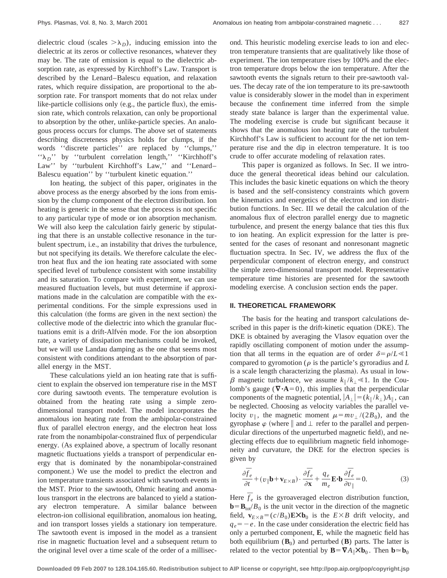dielectric cloud (scales  $>\lambda_D$ ), inducing emission into the dielectric at its zeros or collective resonances, whatever they may be. The rate of emission is equal to the dielectric absorption rate, as expressed by Kirchhoff's Law. Transport is described by the Lenard–Balescu equation, and relaxation rates, which require dissipation, are proportional to the absorption rate. For transport moments that do not relax under like-particle collisions only (e.g., the particle flux), the emission rate, which controls relaxation, can only be proportional to absorption by the other, unlike-particle species. An analogous process occurs for clumps. The above set of statements describing discreteness physics holds for clumps, if the words ''discrete particles'' are replaced by ''clumps,'' " $\lambda_D$ " by "turbulent correlation length," "Kirchhoff's Law" by "turbulent Kirchhoff's Law," and "Lenard-Balescu equation'' by ''turbulent kinetic equation.''

Ion heating, the subject of this paper, originates in the above process as the energy absorbed by the ions from emission by the clump component of the electron distribution. Ion heating is generic in the sense that the process is not specific to any particular type of mode or ion absorption mechanism. We will also keep the calculation fairly generic by stipulating that there is an unstable collective resonance in the turbulent spectrum, i.e., an instability that drives the turbulence, but not specifying its details. We therefore calculate the electron heat flux and the ion heating rate associated with some specified level of turbulence consistent with some instability and its saturation. To compare with experiment, we can use measured fluctuation levels, but must determine if approximations made in the calculation are compatible with the experimental conditions. For the simple expressions used in this calculation (the forms are given in the next section) the collective mode of the dielectric into which the granular fluctuations emit is a drift-Alfven mode. For the ion absorption rate, a variety of dissipation mechanisms could be invoked, but we will use Landau damping as the one that seems most consistent with conditions attendant to the absorption of parallel energy in the MST.

These calculations yield an ion heating rate that is sufficient to explain the observed ion temperature rise in the MST core during sawtooth events. The temperature evolution is obtained from the heating rate using a simple zerodimensional transport model. The model incorporates the anomalous ion heating rate from the ambipolar-constrained flux of parallel electron energy, and the electron heat loss rate from the nonambipolar-constrained flux of perpendicular energy. (As explained above, a spectrum of locally resonant magnetic fluctuations yields a transport of perpendicular energy that is dominated by the nonambipolar-constrained component.) We use the model to predict the electron and ion temperature transients associated with sawtooth events in the MST. Prior to the sawtooth, Ohmic heating and anomalous transport in the electrons are balanced to yield a stationary electron temperature. A similar balance between electron-ion collisional equilibration, anomalous ion heating, and ion transport losses yields a stationary ion temperature. The sawtooth event is imposed in the model as a transient rise in magnetic fluctuation level and a subsequent return to the original level over a time scale of the order of a millisecond. This heuristic modeling exercise leads to ion and electron temperature transients that are qualitatively like those of experiment. The ion temperature rises by 100% and the electron temperature drops below the ion temperature. After the sawtooth events the signals return to their pre-sawtooth values. The decay rate of the ion temperature to its pre-sawtooth value is considerably slower in the model than in experiment because the confinement time inferred from the simple steady state balance is larger than the experimental value. The modeling exercise is crude but significant because it shows that the anomalous ion heating rate of the turbulent Kirchhoff's Law is sufficient to account for the net ion temperature rise and the dip in electron temperature. It is too crude to offer accurate modeling of relaxation rates.

This paper is organized as follows. In Sec. II we introduce the general theoretical ideas behind our calculation. This includes the basic kinetic equations on which the theory is based and the self-consistency constraints which govern the kinematics and energetics of the electron and ion distribution functions. In Sec. III we detail the calculation of the anomalous flux of electron parallel energy due to magnetic turbulence, and present the energy balance that ties this flux to ion heating. An explicit expression for the latter is presented for the cases of resonant and nonresonant magnetic fluctuation spectra. In Sec. IV, we address the flux of the perpendicular component of electron energy, and construct the simple zero-dimensional transport model. Representative temperature time histories are presented for the sawtooth modeling exercise. A conclusion section ends the paper.

## **II. THEORETICAL FRAMEWORK**

The basis for the heating and transport calculations described in this paper is the drift-kinetic equation (DKE). The DKE is obtained by averaging the Vlasov equation over the rapidly oscillating component of motion under the assumption that all terms in the equation are of order  $\delta = \rho/L \ll 1$ compared to gyromotion ( $\rho$  is the particle's gyroradius and  $L$ is a scale length characterizing the plasma). As usual in low- $\beta$  magnetic turbulence, we assume  $k_{\parallel}/k_{\perp} \ll 1$ . In the Coulomb's gauge ( $\nabla \cdot \mathbf{A} = 0$ ), this implies that the perpendicular components of the magnetic potential,  $|A_{\perp}| = (k_{\parallel}/k_{\perp})A_{\parallel}$ , can be neglected. Choosing as velocity variables the parallel velocity  $v_{\parallel}$ , the magnetic moment  $\mu = mv_{\perp}/(2B_0)$ , and the gyrophase  $\varphi$  (where  $\parallel$  and  $\perp$  refer to the parallel and perpendicular directions of the unperturbed magnetic field), and neglecting effects due to equilibrium magnetic field inhomogeneity and curvature, the DKE for the electron species is given by

$$
\frac{\partial \overline{f}_e}{\partial t} + (v_{\parallel} \mathbf{b} + \mathbf{v}_{E \times B}) \cdot \frac{\partial \overline{f}_e}{\partial \mathbf{x}} + \frac{q_e}{m_e} \mathbf{E} \cdot \mathbf{b} \frac{\partial \overline{f}_e}{\partial v_{\parallel}} = 0.
$$
 (3)

Here  $\bar{f}_e$  is the gyroaveraged electron distribution function,  $\mathbf{b} = \mathbf{B}_{\text{tot}}/B_0$  is the unit vector in the direction of the magnetic field,  $\mathbf{v}_{E\times B} = (c/B_0)\mathbf{E}\mathbf{X}\mathbf{b}_0$  is the  $E\times B$  drift velocity, and  $q_e = -e$ . In the case under consideration the electric field has only a perturbed component, **E**, while the magnetic field has both equilibrium  $(\mathbf{B}_0)$  and perturbed  $(\mathbf{B})$  parts. The latter is related to the vector potential by  $\mathbf{B} = \nabla A_{\parallel} \times \mathbf{b}_0$ . Then  $\mathbf{b} \approx \mathbf{b}_0$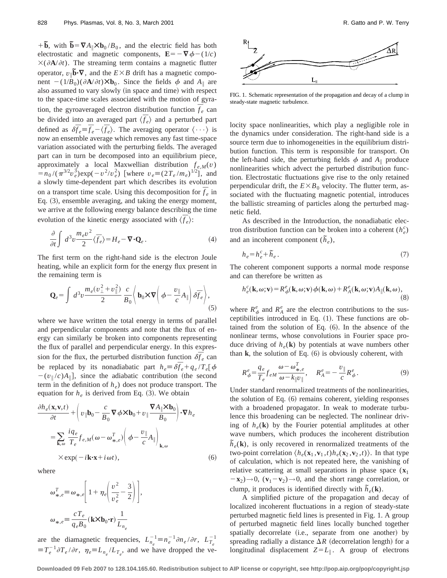$+\tilde{\mathbf{b}}$ , with  $\tilde{\mathbf{b}} = \nabla A_{\parallel} \times \mathbf{b}_0 / B_0$ , and the electric field has both electrostatic and magnetic components,  $\mathbf{E} = -\nabla \phi - (1/c)$  $\times$ ( $\partial$ **A**/ $\partial$ *t*). The streaming term contains a magnetic flutter operator,  $v_{\parallel}$  $\overline{b}$  $\cdot \nabla$ , and the  $E \times B$  drift has a magnetic component  $-(1/B_0)(\partial \mathbf{A}/\partial t)\mathbf{X}\mathbf{b}_0$ . Since the fields  $\phi$  and  $A_{\parallel}$  are also assumed to vary slowly (in space and time) with respect to the space-time scales associated with the motion of gyration, the gyroaveraged electron distribution function  $\overline{f}_e$  can be divided into an averaged part  $\langle \overline{f}_e \rangle$  and a perturbed part defined as  $\delta \bar{f}_e \equiv \bar{f}_e - \langle \bar{f}_e \rangle$ . The averaging operator  $\langle \cdots \rangle$  is now an ensemble average which removes any fast time-space variation associated with the perturbing fields. The averaged part can in turn be decomposed into an equilibrium piece, approximately a local Maxwellian distribution  $f_{e,M}(v)$  $= n_0 / (\pi^{3/2} v_e^3) \exp(-v^2/v_e^2)$  [where  $v_e = (2T_e / m_e)^{1/2}$ ], and a slowly time-dependent part which describes its evolution on a transport time scale. Using this decomposition for  $\overline{f}_e$  in Eq. (3), ensemble averaging, and taking the energy moment, we arrive at the following energy balance describing the time evolution of the kinetic energy associated with  $\langle \overline{f}_e \rangle$ :

$$
\frac{\partial}{\partial t} \int d^3 v \frac{m_e v^2}{2} \langle \vec{f}_e \rangle = H_e - \nabla \cdot \mathbf{Q}_e \,. \tag{4}
$$

The first term on the right-hand side is the electron Joule heating, while an explicit form for the energy flux present in the remaining term is

$$
\mathbf{Q}_e = \int d^3 v \frac{m_e (v_\perp^2 + v_\parallel^2)}{2} \frac{c}{B_0} \left\langle \mathbf{b}_0 \times \nabla \left( \phi - \frac{v_\parallel}{c} A_\parallel \right) \delta \overline{f}_e \right\rangle, \tag{5}
$$

where we have written the total energy in terms of parallel and perpendicular components and note that the flux of energy can similarly be broken into components representing the flux of parallel and perpendicular energy. In this expression for the flux, the perturbed distribution function  $\delta \bar{f}_e$  can be replaced by its nonadiabatic part  $h_e \equiv \delta \bar{f}_e + q_e / T_e [\phi]$  $-(v_{\parallel}/c)A_{\parallel}$ , since the adiabatic contribution (the second term in the definition of  $h_e$ ) does not produce transport. The equation for  $h_e$  is derived from Eq. (3). We obtain

$$
\frac{\partial h_e(\mathbf{x}, \mathbf{v}, t)}{\partial t} + \left( v_{\parallel} \mathbf{b}_0 - \frac{c}{B_0} \nabla \phi \times \mathbf{b}_0 + v_{\parallel} \frac{\nabla A_{\parallel} \times \mathbf{b}_0}{B_0} \right) \cdot \nabla h_e
$$
\n
$$
= \sum_{\mathbf{k}, \omega} \frac{iq_e}{T_e} f_{e, M}(\omega - \omega_{*, e}^T) \left( \phi - \frac{v_{\parallel}}{c} A_{\parallel} \right)_{\mathbf{k}, \omega}
$$
\n
$$
\times \exp(-i\mathbf{k} \cdot \mathbf{x} + i\omega t), \tag{6}
$$

where

$$
\omega_{*,e}^T \equiv \omega_{*,e} \left[ 1 + \eta_e \left( \frac{v^2}{v_e^2} - \frac{3}{2} \right) \right],
$$
  

$$
\omega_{*,e} \equiv \frac{cT_e}{q_e B_0} (\mathbf{k} \times \mathbf{b}_0 \cdot \mathbf{r}) \frac{1}{L_{n_e}}
$$

are the diamagnetic frequencies,  $L_{n_e}^{-1} \equiv n_e^{-1} \partial n_e / \partial r$ ,  $L_{T_e}^{-1}$  $\equiv T_e^{-1} \partial T_e / \partial r$ ,  $\eta_e \equiv L_{n_e} / L_{T_e}$ , and we have dropped the ve-



FIG. 1. Schematic representation of the propagation and decay of a clump in steady-state magnetic turbulence.

locity space nonlinearities, which play a negligible role in the dynamics under consideration. The right-hand side is a source term due to inhomogeneities in the equilibrium distribution function. This term is responsible for transport. On the left-hand side, the perturbing fields  $\phi$  and  $A_{\parallel}$  produce nonlinearities which advect the perturbed distribution function. Electrostatic fluctuations give rise to the only retained perpendicular drift, the  $E\times B_0$  velocity. The flutter term, associated with the fluctuating magnetic potential, introduces the ballistic streaming of particles along the perturbed magnetic field.

As described in the Introduction, the nonadiabatic electron distribution function can be broken into a coherent  $(h_e^c)$ and an incoherent component  $(\tilde{h}_e)$ ,

$$
h_e = h_e^c + \tilde{h}_e \,. \tag{7}
$$

The coherent component supports a normal mode response and can therefore be written as

$$
h_e^c(\mathbf{k}, \omega; \mathbf{v}) = R_\phi^e(\mathbf{k}, \omega; \mathbf{v}) \phi(\mathbf{k}, \omega) + R_A^e(\mathbf{k}, \omega; \mathbf{v}) A_\parallel(\mathbf{k}, \omega),
$$
\n(8)

where  $R^e_{\phi}$  and  $R^e_A$  are the electron contributions to the susceptibilities introduced in Eq.  $(1)$ . These functions are obtained from the solution of Eq.  $(6)$ . In the absence of the nonlinear terms, whose convolutions in Fourier space produce driving of  $h_e(\mathbf{k})$  by potentials at wave numbers other than  $k$ , the solution of Eq.  $(6)$  is obviously coherent, with

$$
R^e_{\phi} = \frac{q_e}{T_e} f_{eM} \frac{\omega - \omega^T_{*,e}}{\omega - k_{\parallel} v_{\parallel}}, \quad R^e_A = -\frac{v_{\parallel}}{c} R^e_{\phi}.
$$
 (9)

Under standard renormalized treatments of the nonlinearities, the solution of Eq.  $(6)$  remains coherent, yielding responses with a broadened propagator. In weak to moderate turbulence this broadening can be neglected. The nonlinear driving of  $h_e(\mathbf{k})$  by the Fourier potential amplitudes at other wave numbers, which produces the incoherent distribution  $\tilde{h}_e(\mathbf{k})$ , is only recovered in renormalized treatments of the two-point correlation  $\langle h_e(\mathbf{x}_1, \mathbf{v}_1, t) h_e(\mathbf{x}_2, \mathbf{v}_2, t) \rangle$ . In that type of calculation, which is not repeated here, the vanishing of relative scattering at small separations in phase space  $(x_1)$  $(-\mathbf{x}_2) \rightarrow 0$ ,  $(\mathbf{v}_1 - \mathbf{v}_2) \rightarrow 0$ , and the short range correlation, or clump, it produces is identified directly with  $\tilde{h}_e(\mathbf{k})$ .

A simplified picture of the propagation and decay of localized incoherent fluctuations in a region of steady-state perturbed magnetic field lines is presented in Fig. 1. A group of perturbed magnetic field lines locally bunched together spatially decorrelate (i.e., separate from one another) by spreading radially a distance  $\Delta R$  (decorrelation length) for a longitudinal displacement  $Z = L_{\parallel}$ . A group of electrons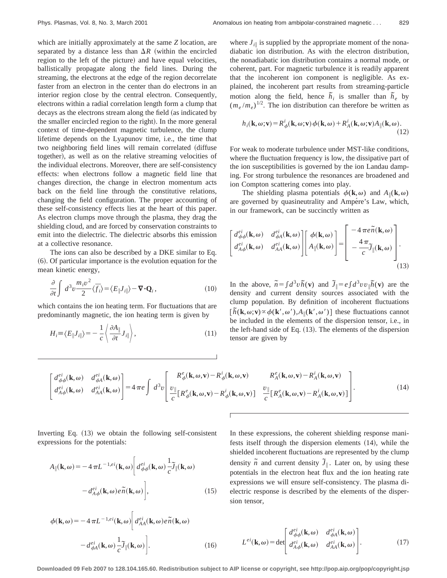which are initially approximately at the same *Z* location, are separated by a distance less than  $\Delta R$  (within the encircled region to the left of the picture) and have equal velocities, ballistically propagate along the field lines. During the streaming, the electrons at the edge of the region decorrelate faster from an electron in the center than do electrons in an interior region close by the central electron. Consequently, electrons within a radial correlation length form a clump that decays as the electrons stream along the field (as indicated by the smaller encircled region to the right). In the more general context of time-dependent magnetic turbulence, the clump lifetime depends on the Lyapunov time, i.e., the time that two neighboring field lines will remain correlated (diffuse together), as well as on the relative streaming velocities of the individual electrons. Moreover, there are self-consistency effects: when electrons follow a magnetic field line that changes direction, the change in electron momentum acts back on the field line through the constitutive relations, changing the field configuration. The proper accounting of these self-consistency effects lies at the heart of this paper. As electron clumps move through the plasma, they drag the shielding cloud, and are forced by conservation constraints to emit into the dielectric. The dielectric absorbs this emission at a collective resonance.

The ions can also be described by a DKE similar to Eq.  $(6)$ . Of particular importance is the evolution equation for the mean kinetic energy,

$$
\frac{\partial}{\partial t} \int d^3 v \frac{m_i v^2}{2} \langle \vec{f}_i \rangle = \langle E_{\parallel} J_{i\parallel} \rangle - \nabla \cdot \mathbf{Q}_i , \qquad (10)
$$

which contains the ion heating term. For fluctuations that are predominantly magnetic, the ion heating term is given by

$$
H_i \equiv \langle E_{\parallel} J_{i\parallel} \rangle = -\frac{1}{c} \left\langle \frac{\partial A_{\parallel}}{\partial t} J_{i\parallel} \right\rangle, \tag{11}
$$

where  $J_{i\parallel}$  is supplied by the appropriate moment of the nonadiabatic ion distribution. As with the electron distribution, the nonadiabatic ion distribution contains a normal mode, or coherent, part. For magnetic turbulence it is readily apparent that the incoherent ion component is negligible. As explained, the incoherent part results from streaming-particle motion along the field, hence  $\tilde{h}_i$  is smaller than  $\tilde{h}_e$  by  $(m_e/m_e)^{1/2}$ . The ion distribution can therefore be written as

$$
h_i(\mathbf{k}, \omega; \mathbf{v}) = R^i_{\phi}(\mathbf{k}, \omega; \mathbf{v}) \phi(\mathbf{k}, \omega) + R^i_A(\mathbf{k}, \omega; \mathbf{v}) A_{\parallel}(\mathbf{k}, \omega).
$$
\n(12)

For weak to moderate turbulence under MST-like conditions, where the fluctuation frequency is low, the dissipative part of the ion susceptibilities is governed by the ion Landau damping. For strong turbulence the resonances are broadened and ion Compton scattering comes into play.

The shielding plasma potentials  $\phi(\mathbf{k},\omega)$  and  $A_{\parallel}(\mathbf{k},\omega)$ are governed by quasineutrality and Ampére's Law, which, in our framework, can be succinctly written as

$$
\begin{bmatrix} d_{\phi\phi}^{ei}(\mathbf{k},\omega) & d_{\phi A}^{ei}(\mathbf{k},\omega) \\ d_{A\phi}^{ei}(\mathbf{k},\omega) & d_{AA}^{ei}(\mathbf{k},\omega) \end{bmatrix} \begin{bmatrix} \phi(\mathbf{k},\omega) \\ A_{\parallel}(\mathbf{k},\omega) \end{bmatrix} = \begin{bmatrix} -4\pi e\tilde{n}(\mathbf{k},\omega) \\ -\frac{4\pi}{c} \tilde{J}_{\parallel}(\mathbf{k},\omega) \end{bmatrix} . \tag{13}
$$

In the above,  $\tilde{n} = \int d^3v \tilde{h}(\mathbf{v})$  and  $\tilde{J} = e \int d^3v v \tilde{h}(\mathbf{v})$  are the density and current density sources associated with the clump population. By definition of incoherent fluctuations  $\left[\tilde{h}(\mathbf{k}, \omega; \mathbf{v}) \propto \phi(\mathbf{k}', \omega'), A_{\parallel}(\mathbf{k}', \omega')\right]$  these fluctuations cannot be included in the elements of the dispersion tensor, i.e., in the left-hand side of Eq.  $(13)$ . The elements of the dispersion tensor are given by

$$
\begin{bmatrix} d_{\phi\phi}^{ei}(\mathbf{k},\omega) & d_{\phi A}^{ei}(\mathbf{k},\omega) \\ d_{A\phi}^{ei}(\mathbf{k},\omega) & d_{A A}^{ei}(\mathbf{k},\omega) \end{bmatrix} = 4 \pi e \int d^{3}v \begin{bmatrix} R_{\phi}^{e}(\mathbf{k},\omega,\mathbf{v}) - R_{\phi}^{i}(\mathbf{k},\omega,\mathbf{v}) & R_{A}^{e}(\mathbf{k},\omega,\mathbf{v}) - R_{A}^{i}(\mathbf{k},\omega,\mathbf{v}) \\ \frac{U_{\parallel}}{c} \left[ R_{\phi}^{e}(\mathbf{k},\omega,\mathbf{v}) - R_{\phi}^{i}(\mathbf{k},\omega,\mathbf{v}) \right] & \frac{U_{\parallel}}{c} \left[ R_{A}^{e}(\mathbf{k},\omega,\mathbf{v}) - R_{A}^{i}(\mathbf{k},\omega,\mathbf{v}) \right] \end{bmatrix} . \tag{14}
$$

Inverting Eq.  $(13)$  we obtain the following self-consistent expressions for the potentials:

$$
A_{\parallel}(\mathbf{k},\omega) = -4\pi L^{-1,ei}(\mathbf{k},\omega) \left[ d^{ei}_{\phi\phi}(\mathbf{k},\omega) \frac{1}{c} \tilde{J}_{\parallel}(\mathbf{k},\omega) - d^{ei}_{A\phi}(\mathbf{k},\omega) e \tilde{n}(\mathbf{k},\omega) \right],
$$
 (15)

In these expressions, the coherent shielding response manifests itself through the dispersion elements  $(14)$ , while the shielded incoherent fluctuations are represented by the clump density  $\tilde{n}$  and current density  $\tilde{J}_{\parallel}$ . Later on, by using these potentials in the electron heat flux and the ion heating rate expressions we will ensure self-consistency. The plasma dielectric response is described by the elements of the dispersion tensor,

$$
\phi(\mathbf{k}, \omega) = -4 \pi L^{-1,ei}(\mathbf{k}, \omega) \left[ d_{AA}^{ei}(\mathbf{k}, \omega) e \tilde{n}(\mathbf{k}, \omega) - d_{\phi A}^{ei}(\mathbf{k}, \omega) \frac{1}{c} \tilde{J}_{\parallel}(\mathbf{k}, \omega) \right].
$$
\n(16)

 $L^{ei}(\mathbf{k}, \omega) = \det$  $d_{\phi\phi}^{ei}(\mathbf{k},\omega)$   $d_{\phi A}^{ei}(\mathbf{k},\omega)$  $\frac{d^{ei}_{A\phi}(\mathbf{k},\omega)}{d^{ei}_{AA}(\mathbf{k},\omega)}$  (17)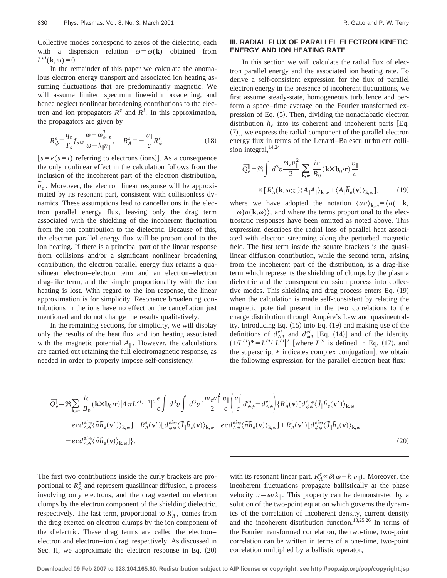Collective modes correspond to zeros of the dielectric, each with a dispersion relation  $\omega = \omega(\mathbf{k})$  obtained from  $L^{ei}(\mathbf{k},\omega)=0.$ 

In the remainder of this paper we calculate the anomalous electron energy transport and associated ion heating assuming fluctuations that are predominantly magnetic. We will assume limited spectrum linewidth broadening, and hence neglect nonlinear broadening contributions to the electron and ion propagators  $R^e$  and  $R^i$ . In this approximation, the propagators are given by

$$
R^s_{\phi} = \frac{q_s}{T_s} f_{sM} \frac{\omega - \omega^T_{*,s}}{\omega - k_{\parallel} \nu_{\parallel}}, \quad R^s_A = -\frac{\nu_{\parallel}}{c} R^s_{\phi} \tag{18}
$$

 $[s = e(s = i)$  referring to electrons (ions). As a consequence the only nonlinear effect in the calculation follows from the inclusion of the incoherent part of the electron distribution,  $\tilde{h}_e$ . Moreover, the electron linear response will be approximated by its resonant part, consistent with collisionless dynamics. These assumptions lead to cancellations in the electron parallel energy flux, leaving only the drag term associated with the shielding of the incoherent fluctuation from the ion contribution to the dielectric. Because of this, the electron parallel energy flux will be proportional to the ion heating. If there is a principal part of the linear response from collisions and/or a significant nonlinear broadening contribution, the electron parallel energy flux retains a quasilinear electron–electron term and an electron–electron drag-like term, and the simple proportionality with the ion heating is lost. With regard to the ion response, the linear approximation is for simplicity. Resonance broadening contributions in the ions have no effect on the cancellation just mentioned and do not change the results qualitatively.

In the remaining sections, for simplicity, we will display only the results of the heat flux and ion heating associated with the magnetic potential  $A_{\parallel}$ . However, the calculations are carried out retaining the full electromagnetic response, as needed in order to properly impose self-consistency.

## **III. RADIAL FLUX OF PARALLEL ELECTRON KINETIC ENERGY AND ION HEATING RATE**

In this section we will calculate the radial flux of electron parallel energy and the associated ion heating rate. To derive a self-consistent expression for the flux of parallel electron energy in the presence of incoherent fluctuations, we first assume steady-state, homogeneous turbulence and perform a space–time average on the Fourier transformed expression of Eq.  $(5)$ . Then, dividing the nonadiabatic electron distribution  $h_e$  into its coherent and incoherent parts [Eq.  $(7)$ , we express the radial component of the parallel electron energy flux in terms of the Lenard–Balescu turbulent collision integral,  $14,24$ 

$$
\overline{Q}_{e}^{\parallel} = \Re \int d^{3}v \frac{m_{e}v_{\parallel}^{2}}{2} \sum_{\mathbf{k},\omega} \frac{ic}{B_{0}} (\mathbf{k} \times \mathbf{b}_{0} \cdot \mathbf{r}) \frac{v_{\parallel}}{c}
$$

$$
\times [R_{A}^{e}(\mathbf{k}, \omega; v) \langle A_{\parallel} A_{\parallel} \rangle_{\mathbf{k}, \omega} + \langle A_{\parallel} \tilde{h}_{e}(\mathbf{v}) \rangle_{\mathbf{k}, \omega}], \tag{19}
$$

where we have adopted the notation  $\langle aa \rangle_{\mathbf{k},\omega} = \langle a(-\mathbf{k},\mathbf{k})\rangle$  $-\omega$ ) $a(\mathbf{k},\omega)$ , and where the terms proportional to the electrostatic responses have been omitted as noted above. This expression describes the radial loss of parallel heat associated with electron streaming along the perturbed magnetic field. The first term inside the square brackets is the quasilinear diffusion contribution, while the second term, arising from the incoherent part of the distribution, is a drag-like term which represents the shielding of clumps by the plasma dielectric and the consequent emission process into collective modes. This shielding and drag process enters Eq.  $(19)$ when the calculation is made self-consistent by relating the magnetic potential present in the two correlations to the charge distribution through Ampére's Law and quasineutrality. Introducing Eq.  $(15)$  into Eq.  $(19)$  and making use of the definitions of  $d_{AA}^{ei}$  and  $d_{\phi A}^{ei}$  [Eq. (14)] and of the identity  $(1/L^{ei})^* = L^{ei}/|L^{ei}|^2$  [where  $L^{ei}$  is defined in Eq. (17), and the superscript  $*$  indicates complex conjugation], we obtain the following expression for the parallel electron heat flux:

$$
\bar{Q}_{e}^{\parallel} = \Re \sum_{\mathbf{k},\omega} \frac{ic}{B_{0}} (\mathbf{k} \times \mathbf{b}_{0} \cdot \mathbf{r}) |4 \pi L^{ei,-1}|^{2} \frac{e}{c} \int d^{3}v \int d^{3}v' \frac{m_{e}v_{\parallel}^{2}}{2} \frac{v_{\parallel}}{c} \left( \frac{v_{\parallel}^{'} d_{\phi\phi}^{ei} - d_{A\phi}^{ei}}{c} \right) \{ R_{A}^{e}(\mathbf{v}) [d_{\phi\phi}^{ei*} \langle \tilde{\mathcal{J}}_{\parallel} \tilde{h}_{e}(\mathbf{v}') \rangle_{\mathbf{k},\omega} - e c d_{A\phi}^{ei*} \langle \tilde{n} \tilde{h}_{e}(\mathbf{v}') \rangle_{\mathbf{k},\omega} ] - R_{A}^{e}(\mathbf{v}') [d_{\phi\phi}^{ei*} \langle \tilde{\mathcal{J}}_{\parallel} \tilde{h}_{e}(\mathbf{v}) \rangle_{\mathbf{k},\omega} - e c d_{A\phi}^{ei*} \langle \tilde{n} \tilde{h}_{e}(\mathbf{v}) \rangle_{\mathbf{k},\omega} ] + R_{A}^{i}(\mathbf{v}') [d_{\phi\phi}^{ei*} \langle \tilde{\mathcal{J}}_{\parallel} \tilde{h}_{e}(\mathbf{v}) \rangle_{\mathbf{k},\omega} ] - e c d_{A\phi}^{ei*} \langle \tilde{n} \tilde{h}_{e}(\mathbf{v}) \rangle_{\mathbf{k},\omega} ] \}.
$$
\n(20)

The first two contributions inside the curly brackets are proportional to  $R_A^e$  and represent quasilinear diffusion, a process involving only electrons, and the drag exerted on electron clumps by the electron component of the shielding dielectric, respectively. The last term, proportional to  $R_A^i$ , comes from the drag exerted on electron clumps by the ion component of the dielectric. These drag terms are called the electron– electron and electron–ion drag, respectively. As discussed in Sec. II, we approximate the electron response in Eq.  $(20)$ 

with its resonant linear part,  $R_A^e \propto \delta(\omega - k_{\parallel} v_{\parallel})$ . Moreover, the incoherent fluctuations propagate ballistically at the phase velocity  $u = \omega/k_{\parallel}$ . This property can be demonstrated by a solution of the two-point equation which governs the dynamics of the correlation of incoherent density, current density and the incoherent distribution function.<sup>13,25,26</sup> In terms of the Fourier transformed correlation, the two-time, two-point correlation can be written in terms of a one-time, two-point correlation multiplied by a ballistic operator,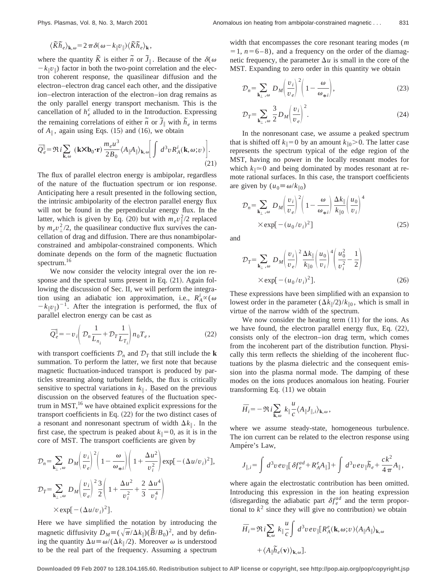$$
\langle \widetilde{K} \widetilde{h}_e \rangle_{\mathbf{k},\omega} = 2 \pi \delta(\omega - k_{\parallel} v_{\parallel}) \langle \widetilde{K} \widetilde{h}_e \rangle_{\mathbf{k}},
$$

where the quantity  $\tilde{K}$  is either  $\tilde{n}$  or  $\tilde{J}_{\parallel}$ . Because of the  $\delta(\omega)$  $-k_{\parallel}v_{\parallel}$ ) factor in both the two-point correlation and the electron coherent response, the quasilinear diffusion and the electron–electron drag cancel each other, and the dissipative ion–electron interaction of the electron–ion drag remains as the only parallel energy transport mechanism. This is the cancellation of  $h_e^c$  alluded to in the Introduction. Expressing the remaining correlations of either  $\tilde{n}$  or  $\tilde{J}_{\parallel}$  with  $\tilde{h}_e$  in terms of  $A_{\parallel}$ , again using Eqs. (15) and (16), we obtain

$$
\bar{Q}_{e}^{\parallel} = \Re i \sum_{\mathbf{k},\omega} (\mathbf{k} \times \mathbf{b}_{0} \cdot \mathbf{r}) \frac{m_{e} u^{3}}{2B_{0}} \langle A_{\parallel} A_{\parallel} \rangle_{\mathbf{k},\omega} \Bigg[ \int d^{3}v R_{A}^{i}(\mathbf{k},\omega;v) \Bigg]. \tag{21}
$$

The flux of parallel electron energy is ambipolar, regardless of the nature of the fluctuation spectrum or ion response. Anticipating here a result presented in the following section, the intrinsic ambipolarity of the electron parallel energy flux will not be found in the perpendicular energy flux. In the latter, which is given by Eq. (20) but with  $m_e v_\parallel^2/2$  replaced by  $m_e v_\perp^2/2$ , the quasilinear conductive flux survives the cancellation of drag and diffusion. There are thus nonambipolarconstrained and ambipolar-constrained components. Which dominate depends on the form of the magnetic fluctuation spectrum.<sup>16</sup>

We now consider the velocity integral over the ion response and the spectral sums present in Eq.  $(21)$ . Again following the discussion of Sec. II, we will perform the integration using an adiabatic ion approximation, i.e.,  $R_A^i \propto (\omega)$  $-k_{\parallel}v_{\parallel}$ <sup>-1</sup>. After the integration is performed, the flux of parallel electron energy can be cast as

$$
\overline{Q}_e^{\parallel} = -v_i \left( \mathcal{D}_n \frac{1}{L_{n_i}} + \mathcal{D}_T \frac{1}{L_{T_i}} \right) n_0 T_e, \qquad (22)
$$

with transport coefficients  $\mathcal{D}_n$  and  $\mathcal{D}_T$  that still include the **k** summation. To perform the latter, we first note that because magnetic fluctuation-induced transport is produced by particles streaming along turbulent fields, the flux is critically sensitive to spectral variations in  $k_{\parallel}$ . Based on the previous discussion on the observed features of the fluctuation spectrum in  $MST$ ,<sup>16</sup> we have obtained explicit expressions for the transport coefficients in Eq.  $(22)$  for the two distinct cases of a resonant and nonresonant spectrum of width  $\Delta k_{\parallel}$ . In the first case, the spectrum is peaked about  $k_{\parallel}=0$ , as it is in the core of MST. The transport coefficients are given by

$$
\mathcal{D}_n = \sum_{\mathbf{k}_{\perp},\omega} D_M \left(\frac{v_i}{v_e}\right)^2 \left(1 - \frac{\omega}{\omega_{*i}}\right) \left(1 + \frac{\Delta u^2}{v_i^2}\right) \exp[-(\Delta u/v_i)^2],
$$
  

$$
\mathcal{D}_T = \sum_{\mathbf{k}_{\perp},\omega} D_M \left(\frac{v_i}{v_e}\right)^2 \frac{3}{2} \left(1 + \frac{\Delta u^2}{v_i^2} + \frac{2}{3} \frac{\Delta u^4}{v_i^4}\right)
$$
  

$$
\times \exp[-(\Delta u/v_i)^2].
$$

Here we have simplified the notation by introducing the magnetic diffusivity  $D_M \equiv (\sqrt{\pi}/\Delta k_{\parallel})(\tilde{B}/B_0)^2$ , and by defining the quantity  $\Delta u \equiv \omega/(\Delta k_{\parallel}/2)$ . Moreover  $\omega$  is understood to be the real part of the frequency. Assuming a spectrum width that encompasses the core resonant tearing modes (*m*  $= 1$ ,  $n=6-8$ ), and a frequency on the order of the diamagnetic frequency, the parameter  $\Delta u$  is small in the core of the MST. Expanding to zero order in this quantity we obtain

$$
\mathcal{D}_n = \sum_{\mathbf{k}_{\perp},\omega} D_M \left(\frac{v_i}{v_e}\right)^2 \left(1 - \frac{\omega}{\omega_{\ast i}}\right),\tag{23}
$$

$$
\mathcal{D}_T = \sum_{\mathbf{k}_{\perp},\omega} \frac{3}{2} D_M \left(\frac{v_i}{v_e}\right)^2.
$$
 (24)

In the nonresonant case, we assume a peaked spectrum that is shifted off  $k_{\parallel}=0$  by an amount  $k_{\parallel 0}$ . The latter case represents the spectrum typical of the edge region of the MST, having no power in the locally resonant modes for which  $k_{\parallel} \approx 0$  and being dominated by modes resonant at remote rational surfaces. In this case, the transport coefficients are given by  $(u_0 \equiv \omega/k_{\parallel 0})$ 

$$
\mathcal{D}_n = \sum_{\mathbf{k}_{\perp},\omega} D_M \left(\frac{v_i}{v_e}\right)^2 \left(1 - \frac{\omega}{\omega_{*i}}\right) \frac{\Delta k_{\parallel}}{k_{\parallel 0}} \left(\frac{u_0}{v_i}\right)^4
$$
  
×  $\exp[-(u_0/v_i)^2]$  (25)

and

$$
\mathcal{D}_T = \sum_{\mathbf{k}_{\perp},\omega} D_M \left(\frac{v_i}{v_e}\right)^2 \frac{\Delta k_{\parallel}}{k_{\parallel 0}} \left(\frac{u_0}{v_i}\right)^4 \left(\frac{u_0^2}{v_i^2} - \frac{1}{2}\right)
$$
  
×  $\exp[-(u_0/v_i)^2].$  (26)

These expressions have been simplified with an expansion to lowest order in the parameter  $(\Delta k_{\parallel}/2)/k_{\parallel 0}$ , which is small in virtue of the narrow width of the spectrum.

We now consider the heating term  $(11)$  for the ions. As we have found, the electron parallel energy flux, Eq.  $(22)$ , consists only of the electron–ion drag term, which comes from the incoherent part of the distribution function. Physically this term reflects the shielding of the incoherent fluctuations by the plasma dielectric and the consequent emission into the plasma normal mode. The damping of these modes on the ions produces anomalous ion heating. Fourier transforming Eq.  $(11)$  we obtain

$$
\bar{H}_i = -\Re i \sum_{\mathbf{k},\omega} k_{\parallel} \frac{u}{c} \langle A_{\parallel} J_{\parallel,i} \rangle_{\mathbf{k},\omega},
$$

where we assume steady-state, homogeneous turbulence. The ion current can be related to the electron response using Ampére's Law,

$$
J_{\parallel,i}\!\!=\int\,d^3v\,ev_\parallel\!\big[\,\delta\!f^{ad}_e\!+\!R^e_A\!A_\parallel\big]\!+\int\,d^3v\,ev_\parallel\!\widetilde h_e\!+\frac{ck^2}{4\,\pi}A_\parallel\,,
$$

where again the electrostatic contribution has been omitted. Introducing this expression in the ion heating expression (disregarding the adiabatic part  $\delta f_e^{ad}$  and the term proportional to  $k^2$  since they will give no contribution) we obtain

$$
\bar{H}_{i} = \Re i \sum_{\mathbf{k}, \omega} k_{\parallel} \frac{u}{c} \int d^{3}v \, ev_{\parallel} [R_{A}^{e}(\mathbf{k}, \omega; v) \langle A_{\parallel} A_{\parallel} \rangle_{\mathbf{k}, \omega} \n+ \langle A_{\parallel} \tilde{h}_{e}(\mathbf{v}) \rangle_{\mathbf{k}, \omega}].
$$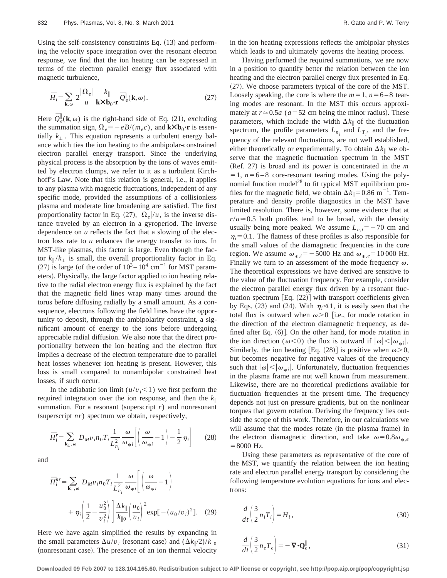Using the self-consistency constraints Eq.  $(13)$  and performing the velocity space integration over the resonant electron response, we find that the ion heating can be expressed in terms of the electron parallel energy flux associated with magnetic turbulence,

$$
\bar{H}_i = \sum_{\mathbf{k},\omega} 2 \frac{|\Omega_e|}{u} \frac{k_{\parallel}}{\mathbf{k} \times \mathbf{b}_0 \cdot \mathbf{r}} \bar{Q}_e^{\parallel}(\mathbf{k},\omega). \tag{27}
$$

Here  $\overline{Q}_{e}^{\parallel}(\mathbf{k},\omega)$  is the right-hand side of Eq. (21), excluding the summation sign,  $\Omega_e \equiv -eB/(m_e c)$ , and  $\mathbf{k} \times \mathbf{b}_0 \cdot \mathbf{r}$  is essentially  $k_{\perp}$ . This equation represents a turbulent energy balance which ties the ion heating to the ambipolar-constrained electron parallel energy transport. Since the underlying physical process is the absorption by the ions of waves emitted by electron clumps, we refer to it as a turbulent Kirchhoff's Law. Note that this relation is general, i.e., it applies to any plasma with magnetic fluctuations, independent of any specific mode, provided the assumptions of a collisionless plasma and moderate line broadening are satisfied. The first proportionality factor in Eq.  $(27)$ ,  $|\Omega_e|/u$ , is the inverse distance traveled by an electron in a gyroperiod. The inverse dependence on *u* reflects the fact that a slowing of the electron loss rate to *u* enhances the energy transfer to ions. In MST-like plasmas, this factor is large. Even though the factor  $k_{\parallel}/k_{\perp}$  is small, the overall proportionality factor in Eq. (27) is large (of the order of  $10^3 - 10^4$  cm<sup>-1</sup> for MST parameters). Physically, the large factor applied to ion heating relative to the radial electron energy flux is explained by the fact that the magnetic field lines wrap many times around the torus before diffusing radially by a small amount. As a consequence, electrons following the field lines have the opportunity to deposit, through the ambipolarity constraint, a significant amount of energy to the ions before undergoing appreciable radial diffusion. We also note that the direct proportionality between the ion heating and the electron flux implies a decrease of the electron temperature due to parallel heat losses whenever ion heating is present. However, this loss is small compared to nonambipolar constrained heat losses, if such occur.

In the adiabatic ion limit  $(u/v_i < 1)$  we first perform the required integration over the ion response, and then the *k*<sup>i</sup> summation. For a resonant (superscript  $r$ ) and nonresonant (superscript  $nr$ ) spectrum we obtain, respectively,

$$
\bar{H}_{i}^{r} = \sum_{\mathbf{k}_{\perp},\omega} D_{M}v_{i}n_{0}T_{i}\frac{1}{L_{n_{i}}^{2}}\frac{\omega}{\omega_{*i}}\left[\left(\frac{\omega}{\omega_{*i}}-1\right)-\frac{1}{2}\eta_{i}\right]
$$
(28)

and

$$
\bar{H}_{i}^{nr} = \sum_{\mathbf{k}_{\perp},\omega} D_M v_{i} n_0 T_i \frac{1}{L_{n_i}^2} \frac{\omega}{\omega_{*i}} \left( \frac{\omega}{\omega_{*i}} - 1 \right)
$$

$$
+ \eta_i \left( \frac{1}{2} - \frac{u_0^2}{v_i^2} \right) \frac{\Delta k_{\parallel}}{k_{\parallel 0}} \left( \frac{u_0}{v_i} \right)^2 \exp[-(u_0/v_i)^2]. \quad (29)
$$

Here we have again simplified the results by expanding in the small parameters  $\Delta u/v_i$  (resonant case) and  $(\Delta k_{\parallel}/2)/k_{\parallel 0}$ (nonresonant case). The presence of an ion thermal velocity in the ion heating expressions reflects the ambipolar physics which leads to and ultimately governs the heating process.

Having performed the required summations, we are now in a position to quantify better the relation between the ion heating and the electron parallel energy flux presented in Eq. (27). We choose parameters typical of the core of the MST. Loosely speaking, the core is where the  $m=1$ ,  $n=6-8$  tearing modes are resonant. In the MST this occurs approximately at  $r \approx 0.5a$  ( $a = 52$  cm being the minor radius). These parameters, which include the width  $\Delta k_{\parallel}$  of the fluctuation spectrum, the profile parameters  $L_{n_i}$  and  $L_{T_i}$ , and the frequency of the relevant fluctuations, are not well established, either theoretically or experimentally. To obtain  $\Delta k_{\parallel}$  we observe that the magnetic fluctuation spectrum in the MST  $(Ref. 27)$  is broad and its power is concentrated in the *m*  $= 1$ ,  $n = 6 - 8$  core-resonant tearing modes. Using the polynomial function model<sup>28</sup> to fit typical MST equilibrium profiles for the magnetic field, we obtain  $\Delta k_{\parallel} = 0.86 \text{ m}^{-1}$ . Temperature and density profile diagnostics in the MST have limited resolution. There is, however, some evidence that at  $r/a \approx 0.5$  both profiles tend to be broad, with the density usually being more peaked. We assume  $L_{n,i} = -70$  cm and  $\eta_i = 0.1$ . The flatness of these profiles is also responsible for the small values of the diamagnetic frequencies in the core region. We assume  $\omega_{*,i} = -5000$  Hz and  $\omega_{*,e} = 10000$  Hz. Finally we turn to an assessment of the mode frequency  $\omega$ . The theoretical expressions we have derived are sensitive to the value of the fluctuation frequency. For example, consider the electron parallel energy flux driven by a resonant fluctuation spectrum  $[Eq. (22)]$  with transport coefficients given by Eqs. (23) and (24). With  $\eta_i \ll 1$ , it is easily seen that the total flux is outward when  $\omega > 0$  [i.e., for mode rotation in the direction of the electron diamagnetic frequency, as defined after Eq.  $(6)$ . On the other hand, for mode rotation in the ion direction ( $\omega$ <0) the flux is outward if  $|\omega| < |\omega_{*i}|$ . Similarly, the ion heating [Eq. (28)] is positive when  $\omega > 0$ , but becomes negative for negative values of the frequency such that  $|\omega| < |\omega_{\star i}|$ . Unfortunately, fluctuation frequencies in the plasma frame are not well known from measurement. Likewise, there are no theoretical predictions available for fluctuation frequencies at the present time. The frequency depends not just on pressure gradients, but on the nonlinear torques that govern rotation. Deriving the frequency lies outside the scope of this work. Therefore, in our calculations we will assume that the modes rotate (in the plasma frame) in the electron diamagnetic direction, and take  $\omega = 0.8\omega_{*,e}$  $=8000$  Hz.

Using these parameters as representative of the core of the MST, we quantify the relation between the ion heating rate and electron parallel energy transport by considering the following temperature evolution equations for ions and electrons:

$$
\frac{d}{dt}\left(\frac{3}{2}n_iT_i\right) = H_i,
$$
\n(30)

$$
\frac{d}{dt} \left( \frac{3}{2} n_e T_e \right) = - \nabla \cdot \mathbf{Q}_e^{\parallel},\tag{31}
$$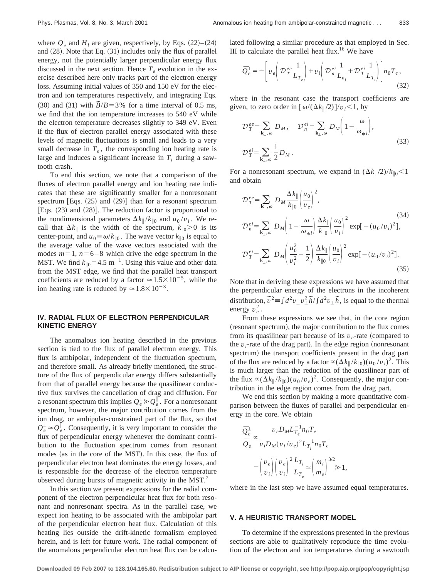where  $Q_e^{\parallel}$  and  $H_i$  are given, respectively, by Eqs. (22)–(24) and  $(28)$ . Note that Eq.  $(31)$  includes only the flux of parallel energy, not the potentially larger perpendicular energy flux discussed in the next section. Hence  $T_e$  evolution in the exercise described here only tracks part of the electron energy loss. Assuming initial values of 350 and 150 eV for the electron and ion temperatures respectively, and integrating Eqs.  $(30)$  and  $(31)$  with  $\bar{B}/B = 3\%$  for a time interval of 0.5 ms, we find that the ion temperature increases to 540 eV while the electron temperature decreases slightly to 349 eV. Even if the flux of electron parallel energy associated with these levels of magnetic fluctuations is small and leads to a very small decrease in  $T_e$ , the corresponding ion heating rate is large and induces a significant increase in  $T_i$  during a sawtooth crash.

To end this section, we note that a comparison of the fluxes of electron parallel energy and ion heating rate indicates that these are significantly smaller for a nonresonant spectrum [Eqs.  $(25)$  and  $(29)$ ] than for a resonant spectrum [Eqs.  $(23)$  and  $(28)$ ]. The reduction factor is proportional to the nondimensional parameters  $\Delta k_{\parallel}/k_{\parallel 0}$  and  $u_0/v_i$ . We recall that  $\Delta k_{\parallel}$  is the width of the spectrum,  $k_{\parallel 0} > 0$  is its center-point, and  $u_0 \equiv \omega / k_{\parallel 0}$ . The wave vector  $k_{\parallel 0}$  is equal to the average value of the wave vectors associated with the modes  $m=1$ ,  $n=6-8$  which drive the edge spectrum in the MST. We find  $k_{\parallel 0} = 4.5 \text{ m}^{-1}$ . Using this value and other data from the MST edge, we find that the parallel heat transport coefficients are reduced by a factor  $\approx 1.5 \times 10^{-5}$ , while the ion heating rate is reduced by  $\simeq 1.8 \times 10^{-3}$ .

# **IV. RADIAL FLUX OF ELECTRON PERPENDICULAR KINETIC ENERGY**

The anomalous ion heating described in the previous section is tied to the flux of parallel electron energy. This flux is ambipolar, independent of the fluctuation spectrum, and therefore small. As already briefly mentioned, the structure of the flux of perpendicular energy differs substantially from that of parallel energy because the quasilinear conductive flux survives the cancellation of drag and diffusion. For a resonant spectrum this implies  $Q_e^{\perp} \gg Q_e^{\parallel}$ . For a nonresonant spectrum, however, the major contribution comes from the ion drag, or ambipolar-constrained part of the flux, so that  $Q_e^{\perp} \approx Q_e^{\parallel}$ . Consequently, it is very important to consider the flux of perpendicular energy whenever the dominant contribution to the fluctuation spectrum comes from resonant modes (as in the core of the MST). In this case, the flux of perpendicular electron heat dominates the energy losses, and is responsible for the decrease of the electron temperature observed during bursts of magnetic activity in the MST.<sup>7</sup>

In this section we present expressions for the radial component of the electron perpendicular heat flux for both resonant and nonresonant spectra. As in the parallel case, we expect ion heating to be associated with the ambipolar part of the perpendicular electron heat flux. Calculation of this heating lies outside the drift-kinetic formalism employed herein, and is left for future work. The radial component of the anomalous perpendicular electron heat flux can be calculated following a similar procedure as that employed in Sec. III to calculate the parallel heat flux.<sup>16</sup> We have

$$
\bar{Q}_e^{\perp} = -\left[ v_e \left( \mathcal{D}_T^{ee} \frac{1}{L_{T_e}} \right) + v_i \left( \mathcal{D}_n^{ei} \frac{1}{L_{n_i}} + \mathcal{D}_T^{ei} \frac{1}{L_{T_i}} \right) \right] n_0 T_e , \tag{32}
$$

where in the resonant case the transport coefficients are given, to zero order in  $\left[\omega/(\Delta k_{\parallel}/2)\right]/v_i \leq 1$ , by

$$
\mathcal{D}_T^{ee} = \sum_{\mathbf{k}_{\perp},\omega} D_M, \quad \mathcal{D}_n^{ei} = \sum_{\mathbf{k}_{\perp},\omega} D_M \left( 1 - \frac{\omega}{\omega_{\ast i}} \right),
$$
\n
$$
\mathcal{D}_T^{ei} = \sum_{\mathbf{k}_{\perp},\omega} \frac{1}{2} D_M.
$$
\n(33)

For a nonresonant spectrum, we expand in  $(\Delta k_{\parallel}/2)/k_{\parallel 0}$  < 1 and obtain

$$
\mathcal{D}_{T}^{ee} = \sum_{\mathbf{k}_{\perp},\omega} D_{M} \frac{\Delta k_{\parallel}}{k_{\parallel 0}} \left(\frac{u_{0}}{v_{e}}\right)^{2},
$$
\n
$$
\mathcal{D}_{n}^{ei} = \sum_{\mathbf{k}_{\perp},\omega} D_{M} \left(1 - \frac{\omega}{\omega_{*i}}\right) \frac{\Delta k_{\parallel}}{k_{\parallel 0}} \left(\frac{u_{0}}{v_{i}}\right)^{2} \exp[-(u_{0}/v_{i})^{2}],
$$
\n
$$
\mathcal{D}_{T}^{ei} = \sum_{\mathbf{k}_{\perp},\omega} D_{M} \left(\frac{u_{0}^{2}}{v_{i}^{2}} - \frac{1}{2}\right) \frac{\Delta k_{\parallel}}{k_{\parallel 0}} \left(\frac{u_{0}}{v_{i}}\right)^{2} \exp[-(u_{0}/v_{i})^{2}].
$$
\n(35)

Note that in deriving these expressions we have assumed that the perpendicular energy of the electrons in the incoherent distribution,  $\tilde{v}^2 \equiv \int d^2 v_{\perp} v_{\perp}^2 \tilde{h} / \int d^2 v_{\perp} \tilde{h}$ , is equal to the thermal energy  $v_e^2$ .

From these expressions we see that, in the core region (resonant spectrum), the major contribution to the flux comes from its quasilinear part because of its  $v_e$ -rate (compared to the  $v_i$ -rate of the drag part). In the edge region (nonresonant spectrum) the transport coefficients present in the drag part of the flux are reduced by a factor  $\alpha (\Delta k_{\parallel}/k_{\parallel 0})(u_0 / v_i)^2$ . This is much larger than the reduction of the quasilinear part of the flux  $\alpha(\Delta k_{\parallel}/k_{\parallel 0})(u_0 / v_e)^2$ . Consequently, the major contribution in the edge region comes from the drag part.

We end this section by making a more quantitative comparison between the fluxes of parallel and perpendicular energy in the core. We obtain

$$
\frac{\overline{Q}_e^{\perp}}{\overline{Q}_e^{\parallel}} \propto \frac{v_e D_M L_{T_e}^{-1} n_0 T_e}{v_i D_M (v_i/v_e)^2 L_{T_i}^{-1} n_0 T_e}
$$
\n
$$
= \left(\frac{v_e}{v_i}\right) \left(\frac{v_e}{v_i}\right)^2 \frac{L_{T_i}}{L_{T_e}} \approx \left(\frac{m_i}{m_e}\right)^{3/2} \gg 1,
$$

where in the last step we have assumed equal temperatures.

## **V. A HEURISTIC TRANSPORT MODEL**

To determine if the expressions presented in the previous sections are able to qualitatively reproduce the time evolution of the electron and ion temperatures during a sawtooth

**Downloaded 09 Feb 2007 to 128.104.165.60. Redistribution subject to AIP license or copyright, see http://pop.aip.org/pop/copyright.jsp**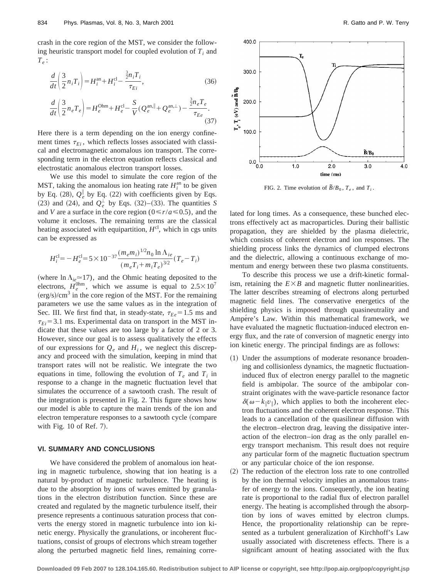crash in the core region of the MST, we consider the following heuristic transport model for coupled evolution of  $T_i$  and  $T_e$ :

$$
\frac{d}{dt} \left( \frac{3}{2} n_i T_i \right) = H_i^{\text{an}} + H_i^{\text{cl}} - \frac{\frac{3}{2} n_i T_i}{\tau_{E_i}},
$$
\n(36)\n
$$
\frac{d}{dt} \left( \frac{3}{2} n_e T_e \right) = H_e^{\text{Ohm}} + H_e^{\text{cl}} - \frac{S}{V} (Q_e^{\text{an}, \parallel} + Q_e^{\text{an}, \perp}) - \frac{\frac{3}{2} n_e T_e}{\tau_{E_e}}.
$$
\n(37)

Here there is a term depending on the ion energy confinement times  $\tau_{E_i}$ , which reflects losses associated with classical and electromagnetic anomalous ion transport. The corresponding term in the electron equation reflects classical and electrostatic anomalous electron transport losses.

We use this model to simulate the core region of the MST, taking the anomalous ion heating rate  $H_i^{\text{an}}$  to be given by Eq.  $(28)$ ,  $Q_e^{\parallel}$  by Eq.  $(22)$  with coefficients given by Eqs.  $(23)$  and  $(24)$ , and  $Q_e^{\perp}$  by Eqs.  $(32)$ – $(33)$ . The quantities *S* and *V* are a surface in the core region ( $0 \le r/a \le 0.5$ ), and the volume it encloses. The remaining terms are the classical heating associated with equipartition,  $H^{cl}$ , which in cgs units can be expressed as

$$
H_i^{\rm cl} = -H_e^{\rm cl} = 5 \times 10^{-37} \frac{(m_e m_i)^{1/2} n_0 \ln \Lambda_{ie}}{(m_e T_i + m_i T_e)^{3/2}} (T_e - T_i)
$$

(where  $\ln \Lambda_{ie} \approx 17$ ), and the Ohmic heating deposited to the electrons,  $H_e^{0 \text{hm}}$ , which we assume is equal to  $2.5 \times 10^7$  $(\text{erg/s})/\text{cm}^3$  in the core region of the MST. For the remaining parameters we use the same values as in the integration of Sec. III. We first find that, in steady-state,  $\tau_{Ee} = 1.5$  ms and  $\tau_{Ei}$ =3.1 ms. Experimental data on transport in the MST indicate that these values are too large by a factor of 2 or 3. However, since our goal is to assess qualitatively the effects of our expressions for  $Q_e$  and  $H_i$ , we neglect this discrepancy and proceed with the simulation, keeping in mind that transport rates will not be realistic. We integrate the two equations in time, following the evolution of  $T_e$  and  $T_i$  in response to a change in the magnetic fluctuation level that simulates the occurrence of a sawtooth crash. The result of the integration is presented in Fig. 2. This figure shows how our model is able to capture the main trends of the ion and electron temperature responses to a sawtooth cycle (compare with Fig.  $10$  of Ref. 7).

## **VI. SUMMARY AND CONCLUSIONS**

We have considered the problem of anomalous ion heating in magnetic turbulence, showing that ion heating is a natural by-product of magnetic turbulence. The heating is due to the absorption by ions of waves emitted by granulations in the electron distribution function. Since these are created and regulated by the magnetic turbulence itself, their presence represents a continuous saturation process that converts the energy stored in magnetic turbulence into ion kinetic energy. Physically the granulations, or incoherent fluctuations, consist of groups of electrons which stream together along the perturbed magnetic field lines, remaining corre-



FIG. 2. Time evolution of  $\tilde{B}/B_0$ ,  $T_e$ , and  $T_i$ .

lated for long times. As a consequence, these bunched electrons effectively act as macroparticles. During their ballistic propagation, they are shielded by the plasma dielectric, which consists of coherent electron and ion responses. The shielding process links the dynamics of clumped electrons and the dielectric, allowing a continuous exchange of momentum and energy between these two plasma constituents.

To describe this process we use a drift-kinetic formalism, retaining the  $E \times B$  and magnetic flutter nonlinearities. The latter describes streaming of electrons along perturbed magnetic field lines. The conservative energetics of the shielding physics is imposed through quasineutrality and Ampére's Law. Within this mathematical framework, we have evaluated the magnetic fluctuation-induced electron energy flux, and the rate of conversion of magnetic energy into ion kinetic energy. The principal findings are as follows:

- (1) Under the assumptions of moderate resonance broadening and collisionless dynamics, the magnetic fluctuationinduced flux of electron energy parallel to the magnetic field is ambipolar. The source of the ambipolar constraint originates with the wave-particle resonance factor  $\delta(\omega - k_{\parallel}v_{\parallel})$ , which applies to both the incoherent electron fluctuations and the coherent electron response. This leads to a cancellation of the quasilinear diffusion with the electron–electron drag, leaving the dissipative interaction of the electron–ion drag as the only parallel energy transport mechanism. This result does not require any particular form of the magnetic fluctuation spectrum or any particular choice of the ion response.
- (2) The reduction of the electron loss rate to one controlled by the ion thermal velocity implies an anomalous transfer of energy to the ions. Consequently, the ion heating rate is proportional to the radial flux of electron parallel energy. The heating is accomplished through the absorption by ions of waves emitted by electron clumps. Hence, the proportionality relationship can be represented as a turbulent generalization of Kirchhoff's Law usually associated with discreteness effects. There is a significant amount of heating associated with the flux